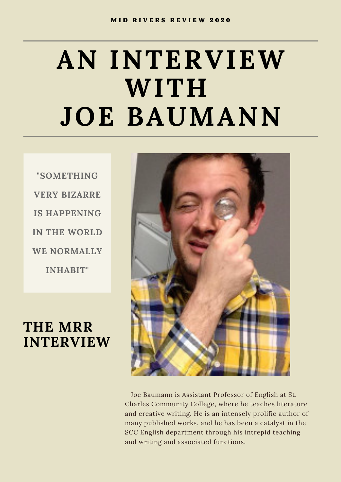# **AN INTERVIEW WITH JOE BAUMANN**

**"SOMETHING VERY BIZARRE IS HAPPENING IN THE WORLD WE NORMALLY INHABIT"**

## **THE MRR INTERVIEW**



Joe Baumann is Assistant Professor of English at St. Charles Community College, where he teaches literature and creative writing. He is an intensely prolific author of many published works, and he has been a catalyst in the SCC English department through his intrepid teaching and writing and associated functions.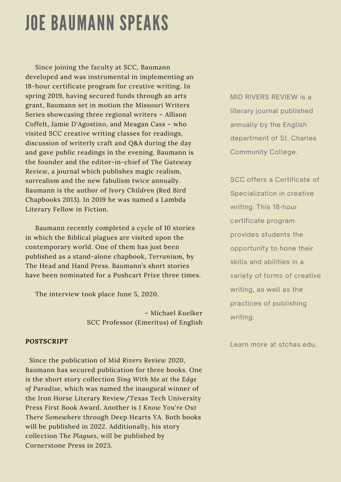## JOE BAUMANN SPEAKS

Since joining the faculty at SCC, Baumann developed and was instrumental in implementing an 18-hour certificate program for creative writing. In spring 2019, having secured funds through an arts grant, Baumann set in motion the Missouri Writers Series showcasing three regional writers – Allison Coffelt, Jamie D'Agostino, and Meagan Cass – who visited SCC creative writing classes for readings, discussion of writerly craft and Q&A during the day and gave public readings in the evening. Baumann is the founder and the editor-in-chief of *The Gateway Review*, a journal which publishes magic realism, surrealism and the new fabulism twice annually. Baumann is the author of *Ivory Children* (Red Bird Chapbooks 2013). In 2019 he was named a Lambda Literary Fellow in Fiction.

Baumann recently completed a cycle of 10 stories in which the Biblical plagues are visited upon the contemporary world. One of them has just been published as a stand-alone chapbook, *Terranium*, by The Head and Hand Press. Baumann's short stories have been nominated for a Pushcart Prize three times.

The interview took place June 5, 2020.

– Michael Kuelker SCC Professor (Emeritus) of English

#### *POSTSCRIPT*

Since the publication of *Mid Rivers Review 2020*, Baumann has secured publication for three books. One is the short story collection *Sing With Me at the Edge of Paradise,* which was named the inaugural winner of the Iron Horse Literary Review/Texas Tech University Press First Book Award. Another is *I Know You're Out There Somewhere* through Deep Hearts YA. Both books will be published in 2022. Additionally, his story collection *The Plagues*, will be published by Cornerstone Press in 2023.

MID RIVERS REVIEW is a literary journal published annually by the English department of St. Charles Community College.

SCC offers a Certificate of Specialization in creative writing. This 18-hour certificate program provides students the opportunity to hone their skills and abilities in a variety of forms of creative writing, as well as the practices of publishing writing.

Learn more at stchas.edu.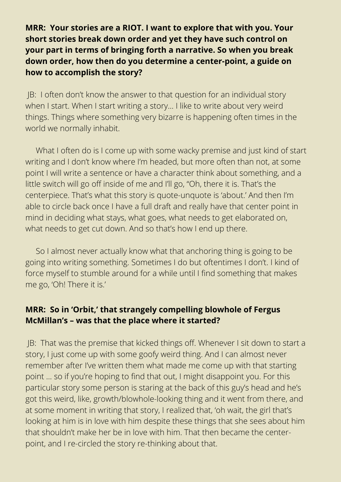#### **MRR: Your stories are a RIOT. I want to explore that with you. Your short stories break down order and yet they have such control on your part in terms of bringing forth a narrative. So when you break down order, how then do you determine a center-point, a guide on how to accomplish the story?**

JB: I often don't know the answer to that question for an individual story when I start. When I start writing a story... I like to write about very weird things. Things where something very bizarre is happening often times in the world we normally inhabit.

What I often do is I come up with some wacky premise and just kind of start writing and I don't know where I'm headed, but more often than not, at some point I will write a sentence or have a character think about something, and a little switch will go off inside of me and I'll go, "Oh, there it is. That's the centerpiece. That's what this story is quote-unquote is 'about.' And then I'm able to circle back once I have a full draft and really have that center point in mind in deciding what stays, what goes, what needs to get elaborated on, what needs to get cut down. And so that's how I end up there.

So I almost never actually know what that anchoring thing is going to be going into writing something. Sometimes I do but oftentimes I don't. I kind of force myself to stumble around for a while until I find something that makes me go, 'Oh! There it is.'

#### **MRR: So in 'Orbit,' that strangely compelling blowhole of Fergus McMillan's – was that the place where it started?**

JB: That was the premise that kicked things off. Whenever I sit down to start a story, I just come up with some goofy weird thing. And I can almost never remember after I've written them what made me come up with that starting point … so if you're hoping to find that out, I might disappoint you. For this particular story some person is staring at the back of this guy's head and he's got this weird, like, growth/blowhole-looking thing and it went from there, and at some moment in writing that story, I realized that, 'oh wait, the girl that's looking at him is in love with him despite these things that she sees about him that shouldn't make her be in love with him. That then became the centerpoint, and I re-circled the story re-thinking about that.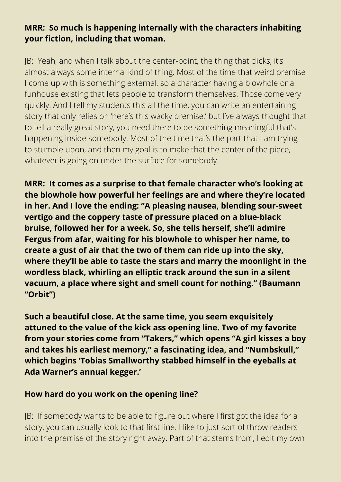#### **MRR: So much is happening internally with the characters inhabiting your fiction, including that woman.**

JB: Yeah, and when I talk about the center-point, the thing that clicks, it's almost always some internal kind of thing. Most of the time that weird premise I come up with is something external, so a character having a blowhole or a funhouse existing that lets people to transform themselves. Those come very quickly. And I tell my students this all the time, you can write an entertaining story that only relies on 'here's this wacky premise,' but I've always thought that to tell a really great story, you need there to be something meaningful that's happening inside somebody. Most of the time that's the part that I am trying to stumble upon, and then my goal is to make that the center of the piece, whatever is going on under the surface for somebody.

**MRR: It comes as a surprise to that female character who's looking at the blowhole how powerful her feelings are and where they're located in her. And I love the ending: "A pleasing nausea, blending sour-sweet vertigo and the coppery taste of pressure placed on a blue-black bruise, followed her for a week. So, she tells herself, she'll admire Fergus from afar, waiting for his blowhole to whisper her name, to create a gust of air that the two of them can ride up into the sky, where they'll be able to taste the stars and marry the moonlight in the wordless black, whirling an elliptic track around the sun in a silent vacuum, a place where sight and smell count for nothing." (Baumann "Orbit")**

**Such a beautiful close. At the same time, you seem exquisitely attuned to the value of the kick ass opening line. Two of my favorite from your stories come from "Takers," which opens "A girl kisses a boy and takes his earliest memory," a fascinating idea, and "Numbskull," which begins 'Tobias Smallworthy stabbed himself in the eyeballs at Ada Warner's annual kegger.'**

#### **How hard do you work on the opening line?**

JB: If somebody wants to be able to figure out where I first got the idea for a story, you can usually look to that first line. I like to just sort of throw readers into the premise of the story right away. Part of that stems from, I edit my own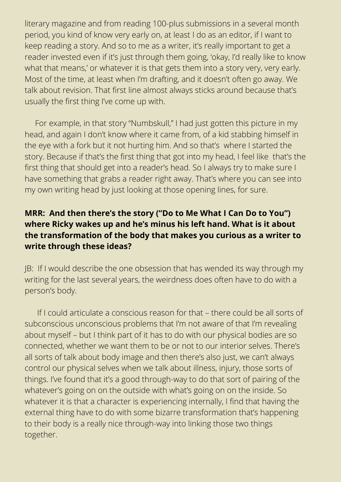literary magazine and from reading 100-plus submissions in a several month period, you kind of know very early on, at least I do as an editor, if I want to keep reading a story. And so to me as a writer, it's really important to get a reader invested even if it's just through them going, 'okay, I'd really like to know what that means,' or whatever it is that gets them into a story very, very early. Most of the time, at least when I'm drafting, and it doesn't often go away. We talk about revision. That first line almost always sticks around because that's usually the first thing I've come up with.

For example, in that story "Numbskull," I had just gotten this picture in my head, and again I don't know where it came from, of a kid stabbing himself in the eye with a fork but it not hurting him. And so that's where I started the story. Because if that's the first thing that got into my head, I feel like that's the first thing that should get into a reader's head. So I always try to make sure I have something that grabs a reader right away. That's where you can see into my own writing head by just looking at those opening lines, for sure.

#### **MRR: And then there's the story ("Do to Me What I Can Do to You") where Ricky wakes up and he's minus his left hand. What is it about the transformation of the body that makes you curious as a writer to write through these ideas?**

JB: If I would describe the one obsession that has wended its way through my writing for the last several years, the weirdness does often have to do with a person's body.

If I could articulate a conscious reason for that – there could be all sorts of subconscious unconscious problems that I'm not aware of that I'm revealing about myself – but I think part of it has to do with our physical bodies are so connected, whether we want them to be or not to our interior selves. There's all sorts of talk about body image and then there's also just, we can't always control our physical selves when we talk about illness, injury, those sorts of things. I've found that it's a good through-way to do that sort of pairing of the whatever's going on on the outside with what's going on on the inside. So whatever it is that a character is experiencing internally, I find that having the external thing have to do with some bizarre transformation that's happening to their body is a really nice through-way into linking those two things together.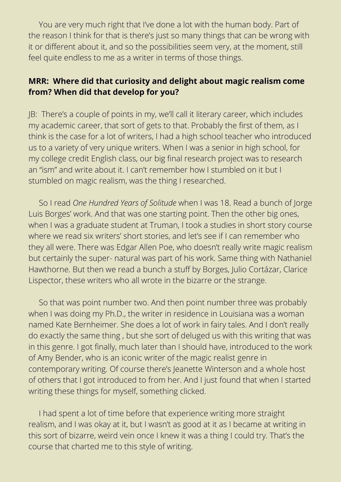You are very much right that I've done a lot with the human body. Part of the reason I think for that is there's just so many things that can be wrong with it or different about it, and so the possibilities seem very, at the moment, still feel quite endless to me as a writer in terms of those things.

#### **MRR: Where did that curiosity and delight about magic realism come from? When did that develop for you?**

JB: There's a couple of points in my, we'll call it literary career, which includes my academic career, that sort of gets to that. Probably the first of them, as I think is the case for a lot of writers, I had a high school teacher who introduced us to a variety of very unique writers. When I was a senior in high school, for my college credit English class, our big final research project was to research an "ism" and write about it. I can't remember how I stumbled on it but I stumbled on magic realism, was the thing I researched.

So I read *One Hundred Years of Solitude* when I was 18. Read a bunch of Jorge Luis Borges' work. And that was one starting point. Then the other big ones, when I was a graduate student at Truman, I took a studies in short story course where we read six writers' short stories, and let's see if I can remember who they all were. There was Edgar Allen Poe, who doesn't really write magic realism but certainly the super- natural was part of his work. Same thing with Nathaniel Hawthorne. But then we read a bunch a stuff by Borges, Julio Cortázar, Clarice Lispector, these writers who all wrote in the bizarre or the strange.

So that was point number two. And then point number three was probably when I was doing my Ph.D., the writer in residence in Louisiana was a woman named Kate Bernheimer. She does a lot of work in fairy tales. And I don't really do exactly the same thing , but she sort of deluged us with this writing that was in this genre. I got finally, much later than I should have, introduced to the work of Amy Bender, who is an iconic writer of the magic realist genre in contemporary writing. Of course there's Jeanette Winterson and a whole host of others that I got introduced to from her. And I just found that when I started writing these things for myself, something clicked.

I had spent a lot of time before that experience writing more straight realism, and I was okay at it, but I wasn't as good at it as I became at writing in this sort of bizarre, weird vein once I knew it was a thing I could try. That's the course that charted me to this style of writing.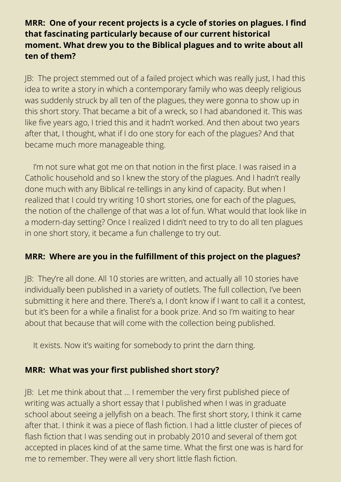#### **MRR: One of your recent projects is a cycle of stories on plagues. I find that fascinating particularly because of our current historical moment. What drew you to the Biblical plagues and to write about all ten of them?**

JB: The project stemmed out of a failed project which was really just, I had this idea to write a story in which a contemporary family who was deeply religious was suddenly struck by all ten of the plagues, they were gonna to show up in this short story. That became a bit of a wreck, so I had abandoned it. This was like five years ago, I tried this and it hadn't worked. And then about two years after that, I thought, what if I do one story for each of the plagues? And that became much more manageable thing.

I'm not sure what got me on that notion in the first place. I was raised in a Catholic household and so I knew the story of the plagues. And I hadn't really done much with any Biblical re-tellings in any kind of capacity. But when I realized that I could try writing 10 short stories, one for each of the plagues, the notion of the challenge of that was a lot of fun. What would that look like in a modern-day setting? Once I realized I didn't need to try to do all ten plagues in one short story, it became a fun challenge to try out.

#### **MRR: Where are you in the fulfillment of this project on the plagues?**

JB: They're all done. All 10 stories are written, and actually all 10 stories have individually been published in a variety of outlets. The full collection, I've been submitting it here and there. There's a, I don't know if I want to call it a contest, but it's been for a while a finalist for a book prize. And so I'm waiting to hear about that because that will come with the collection being published.

It exists. Now it's waiting for somebody to print the darn thing.

#### **MRR: What was your first published short story?**

JB: Let me think about that … I remember the very first published piece of writing was actually a short essay that I published when I was in graduate school about seeing a jellyfish on a beach. The first short story, I think it came after that. I think it was a piece of flash fiction. I had a little cluster of pieces of flash fiction that I was sending out in probably 2010 and several of them got accepted in places kind of at the same time. What the first one was is hard for me to remember. They were all very short little flash fiction.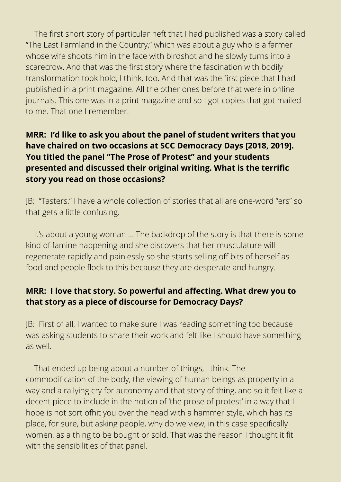The first short story of particular heft that I had published was a story called "The Last Farmland in the Country," which was about a guy who is a farmer whose wife shoots him in the face with birdshot and he slowly turns into a scarecrow. And that was the first story where the fascination with bodily transformation took hold, I think, too. And that was the first piece that I had published in a print magazine. All the other ones before that were in online journals. This one was in a print magazine and so I got copies that got mailed to me. That one I remember.

#### **MRR: I'd like to ask you about the panel of student writers that you have chaired on two occasions at SCC Democracy Days [2018, 2019]. You titled the panel "The Prose of Protest" and your students presented and discussed their original writing. What is the terrific story you read on those occasions?**

JB: "Tasters." I have a whole collection of stories that all are one-word "ers" so that gets a little confusing.

It's about a young woman … The backdrop of the story is that there is some kind of famine happening and she discovers that her musculature will regenerate rapidly and painlessly so she starts selling off bits of herself as food and people flock to this because they are desperate and hungry.

#### **MRR: I love that story. So powerful and affecting. What drew you to that story as a piece of discourse for Democracy Days?**

JB: First of all, I wanted to make sure I was reading something too because I was asking students to share their work and felt like I should have something as well.

That ended up being about a number of things, I think. The commodification of the body, the viewing of human beings as property in a way and a rallying cry for autonomy and that story of thing, and so it felt like a decent piece to include in the notion of 'the prose of protest' in a way that I hope is not sort ofhit you over the head with a hammer style, which has its place, for sure, but asking people, why do we view, in this case specifically women, as a thing to be bought or sold. That was the reason I thought it fit with the sensibilities of that panel.